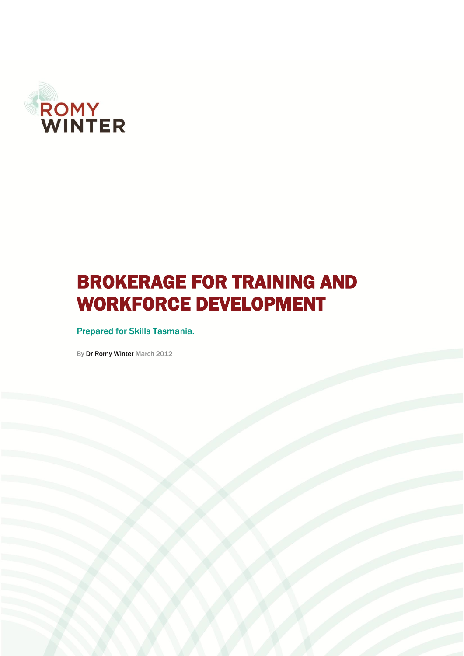

# BROKERAGE FOR TRAINING AND WORKFORCE DEVELOPMENT

Prepared for Skills Tasmania.

By Dr Romy Winter March 2012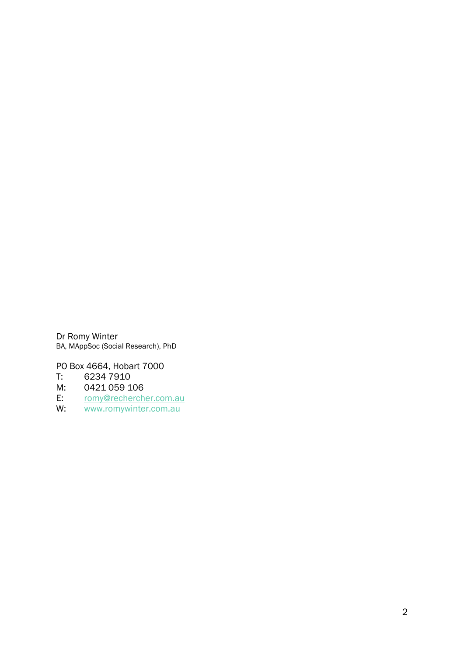Dr Romy Winter BA, MAppSoc (Social Research), PhD

PO Box 4664, Hobart 7000

T: 6234 7910

- M: 0421 059 106<br>E: romy@recherch
- E: [romy@rechercher.com.au](mailto:romy@rechercher.com.au)<br>W: www.romywinter.com.au
- [www.romywinter.com.au](http://www.romywinter.com.au/)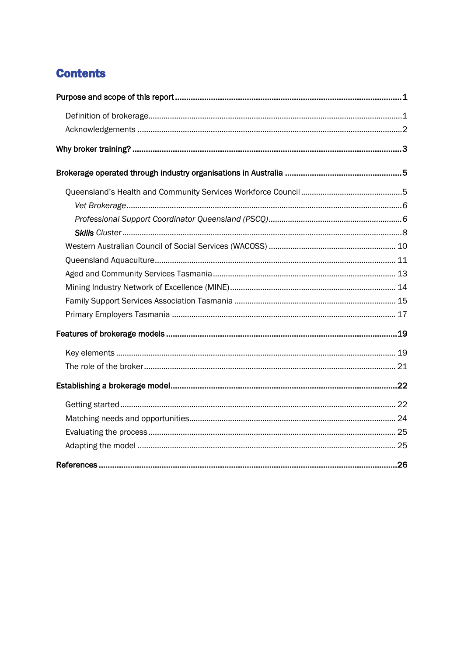# **Contents**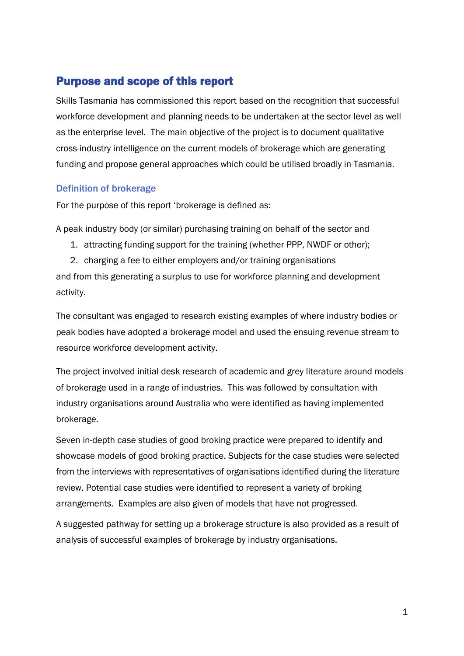## <span id="page-4-0"></span>Purpose and scope of this report

Skills Tasmania has commissioned this report based on the recognition that successful workforce development and planning needs to be undertaken at the sector level as well as the enterprise level. The main objective of the project is to document qualitative cross-industry intelligence on the current models of brokerage which are generating funding and propose general approaches which could be utilised broadly in Tasmania.

#### <span id="page-4-1"></span>Definition of brokerage

For the purpose of this report 'brokerage is defined as:

A peak industry body (or similar) purchasing training on behalf of the sector and

- 1. attracting funding support for the training (whether PPP, NWDF or other);
- 2. charging a fee to either employers and/or training organisations

and from this generating a surplus to use for workforce planning and development activity.

The consultant was engaged to research existing examples of where industry bodies or peak bodies have adopted a brokerage model and used the ensuing revenue stream to resource workforce development activity.

The project involved initial desk research of academic and grey literature around models of brokerage used in a range of industries. This was followed by consultation with industry organisations around Australia who were identified as having implemented brokerage.

Seven in-depth case studies of good broking practice were prepared to identify and showcase models of good broking practice. Subjects for the case studies were selected from the interviews with representatives of organisations identified during the literature review. Potential case studies were identified to represent a variety of broking arrangements. Examples are also given of models that have not progressed.

A suggested pathway for setting up a brokerage structure is also provided as a result of analysis of successful examples of brokerage by industry organisations.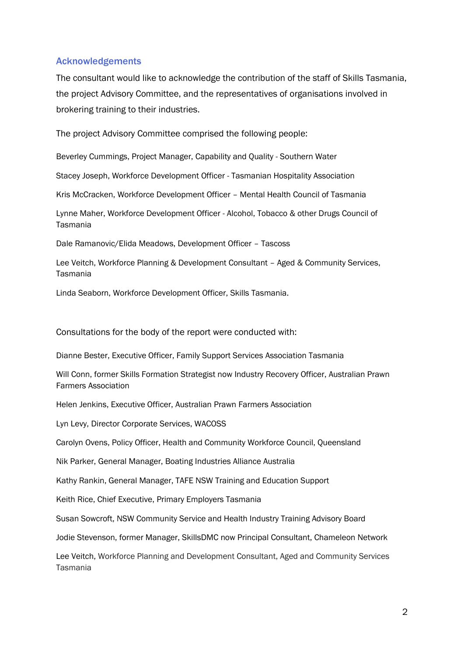#### <span id="page-5-0"></span>Acknowledgements

The consultant would like to acknowledge the contribution of the staff of Skills Tasmania, the project Advisory Committee, and the representatives of organisations involved in brokering training to their industries.

The project Advisory Committee comprised the following people:

Beverley Cummings, Project Manager, Capability and Quality - Southern Water

Stacey Joseph, Workforce Development Officer - Tasmanian Hospitality Association

Kris McCracken, Workforce Development Officer – Mental Health Council of Tasmania

Lynne Maher, Workforce Development Officer - Alcohol, Tobacco & other Drugs Council of Tasmania

Dale Ramanovic/Elida Meadows, Development Officer – Tascoss

Lee Veitch, Workforce Planning & Development Consultant – Aged & Community Services, Tasmania

Linda Seaborn, Workforce Development Officer, Skills Tasmania.

Consultations for the body of the report were conducted with:

Dianne Bester, Executive Officer, Family Support Services Association Tasmania

Will Conn, former Skills Formation Strategist now Industry Recovery Officer, Australian Prawn Farmers Association

Helen Jenkins, Executive Officer, Australian Prawn Farmers Association

Lyn Levy, Director Corporate Services, WACOSS

Carolyn Ovens, Policy Officer, Health and Community Workforce Council, Queensland

Nik Parker, General Manager, Boating Industries Alliance Australia

Kathy Rankin, General Manager, TAFE NSW Training and Education Support

Keith Rice, Chief Executive, Primary Employers Tasmania

Susan Sowcroft, NSW Community Service and Health Industry Training Advisory Board

Jodie Stevenson, former Manager, SkillsDMC now Principal Consultant, Chameleon Network

Lee Veitch, Workforce Planning and Development Consultant, Aged and Community Services Tasmania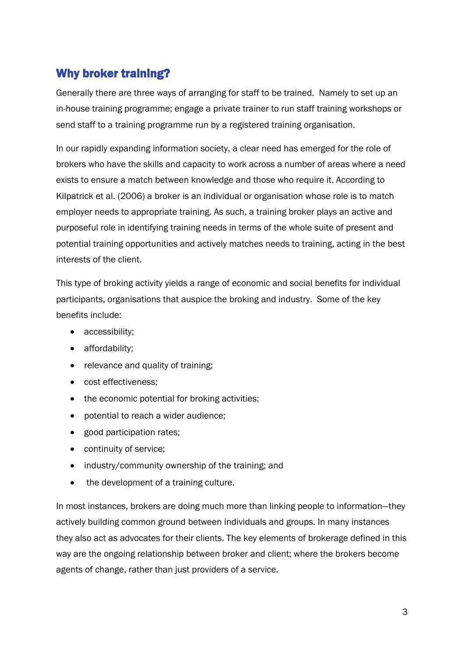# <span id="page-6-0"></span>Why broker training?

Generally there are three ways of arranging for staff to be trained. Namely to set up an in-house training programme; engage a private trainer to run staff training workshops or send staff to a training programme run by a registered training organisation.

In our rapidly expanding information society, a clear need has emerged for the role of brokers who have the skills and capacity to work across a number of areas where a need exists to ensure a match between knowledge and those who require it. According to Kilpatrick et al. (2006) a broker is an individual or organisation whose role is to match employer needs to appropriate training. As such, a training broker plays an active and purposeful role in identifying training needs in terms of the whole suite of present and potential training opportunities and actively matches needs to training, acting in the best interests of the client.

This type of broking activity yields a range of economic and social benefits for individual participants, organisations that auspice the broking and industry. Some of the key benefits include:

- accessibility;
- affordability;
- relevance and quality of training;
- cost effectiveness:
- the economic potential for broking activities;
- potential to reach a wider audience;
- good participation rates;
- continuity of service;
- industry/community ownership of the training: and
- the development of a training culture.

In most instances, brokers are doing much more than linking people to information—they actively building common ground between individuals and groups. In many instances they also act as advocates for their clients. The key elements of brokerage defined in this way are the ongoing relationship between broker and client; where the brokers become agents of change, rather than just providers of a service.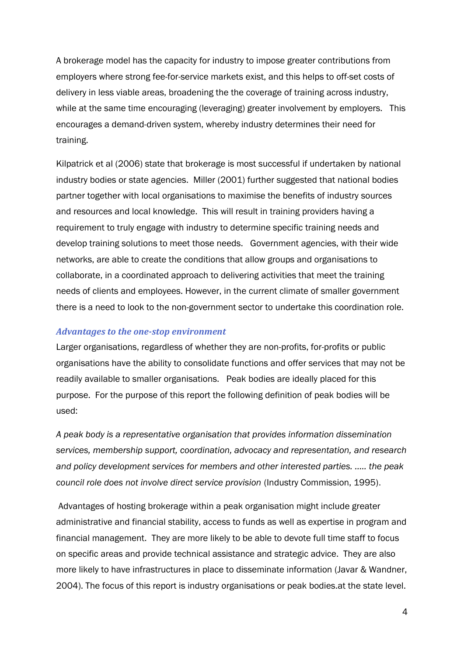A brokerage model has the capacity for industry to impose greater contributions from employers where strong fee-for-service markets exist, and this helps to off-set costs of delivery in less viable areas, broadening the the coverage of training across industry, while at the same time encouraging (leveraging) greater involvement by employers. This encourages a demand-driven system, whereby industry determines their need for training.

Kilpatrick et al (2006) state that brokerage is most successful if undertaken by national industry bodies or state agencies. Miller (2001) further suggested that national bodies partner together with local organisations to maximise the benefits of industry sources and resources and local knowledge. This will result in training providers having a requirement to truly engage with industry to determine specific training needs and develop training solutions to meet those needs. Government agencies, with their wide networks, are able to create the conditions that allow groups and organisations to collaborate, in a coordinated approach to delivering activities that meet the training needs of clients and employees. However, in the current climate of smaller government there is a need to look to the non-government sector to undertake this coordination role.

#### *Advantages to the one-stop environment*

Larger organisations, regardless of whether they are non-profits, for-profits or public organisations have the ability to consolidate functions and offer services that may not be readily available to smaller organisations. Peak bodies are ideally placed for this purpose. For the purpose of this report the following definition of peak bodies will be used:

*A peak body is a representative organisation that provides information dissemination services, membership support, coordination, advocacy and representation, and research and policy development services for members and other interested parties. ….. the peak council role does not involve direct service provision* (Industry Commission, 1995).

Advantages of hosting brokerage within a peak organisation might include greater administrative and financial stability, access to funds as well as expertise in program and financial management. They are more likely to be able to devote full time staff to focus on specific areas and provide technical assistance and strategic advice. They are also more likely to have infrastructures in place to disseminate information (Javar & Wandner, 2004). The focus of this report is industry organisations or peak bodies.at the state level.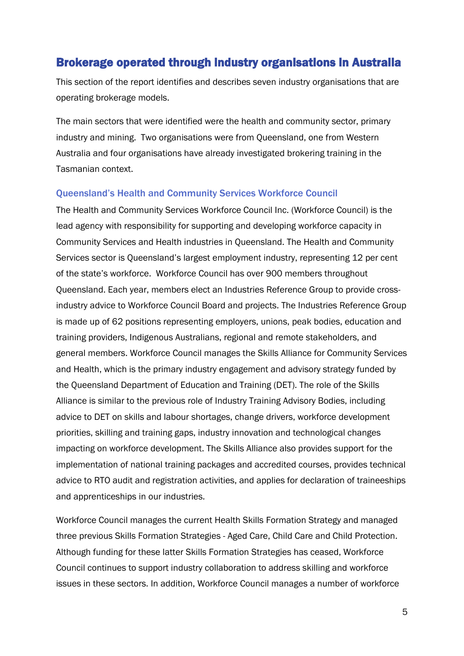### <span id="page-8-0"></span>Brokerage operated through industry organisations in Australia

This section of the report identifies and describes seven industry organisations that are operating brokerage models.

The main sectors that were identified were the health and community sector, primary industry and mining. Two organisations were from Queensland, one from Western Australia and four organisations have already investigated brokering training in the Tasmanian context.

#### <span id="page-8-1"></span>Queensland's Health and Community Services Workforce Council

The Health and Community Services Workforce Council Inc. (Workforce Council) is the lead agency with responsibility for supporting and developing workforce capacity in Community Services and Health industries in Queensland. The Health and Community Services sector is Queensland's largest employment industry, representing 12 per cent of the state's workforce. Workforce Council has over 900 members throughout Queensland. Each year, members elect an Industries Reference Group to provide crossindustry advice to Workforce Council Board and projects. The Industries Reference Group is made up of 62 positions representing employers, unions, peak bodies, education and training providers, Indigenous Australians, regional and remote stakeholders, and general members. Workforce Council manages the Skills Alliance for Community Services and Health, which is the primary industry engagement and advisory strategy funded by the Queensland Department of Education and Training (DET). The role of the Skills Alliance is similar to the previous role of Industry Training Advisory Bodies, including advice to DET on skills and labour shortages, change drivers, workforce development priorities, skilling and training gaps, industry innovation and technological changes impacting on workforce development. The Skills Alliance also provides support for the implementation of national training packages and accredited courses, provides technical advice to RTO audit and registration activities, and applies for declaration of traineeships and apprenticeships in our industries.

Workforce Council manages the current Health Skills Formation Strategy and managed three previous Skills Formation Strategies - Aged Care, Child Care and Child Protection. Although funding for these latter Skills Formation Strategies has ceased, Workforce Council continues to support industry collaboration to address skilling and workforce issues in these sectors. In addition, Workforce Council manages a number of workforce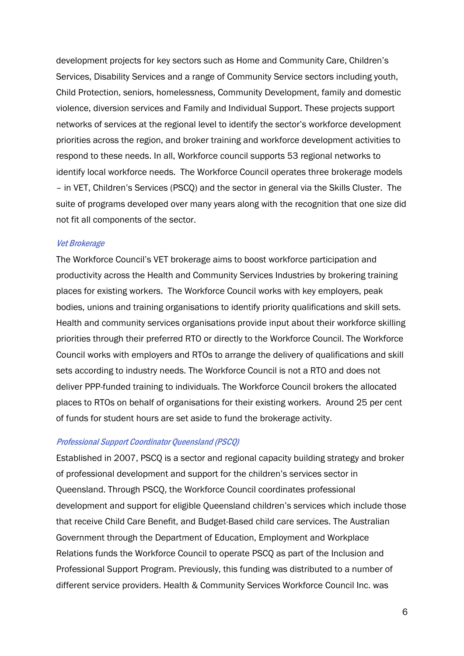development projects for key sectors such as Home and Community Care, Children's Services, Disability Services and a range of Community Service sectors including youth, Child Protection, seniors, homelessness, Community Development, family and domestic violence, diversion services and Family and Individual Support. These projects support networks of services at the regional level to identify the sector's workforce development priorities across the region, and broker training and workforce development activities to respond to these needs. In all, Workforce council supports 53 regional networks to identify local workforce needs. The Workforce Council operates three brokerage models – in VET, Children's Services (PSCQ) and the sector in general via the Skills Cluster. The suite of programs developed over many years along with the recognition that one size did not fit all components of the sector.

#### <span id="page-9-0"></span>Vet Brokerage

The Workforce Council's VET brokerage aims to boost workforce participation and productivity across the Health and Community Services Industries by brokering training places for existing workers. The Workforce Council works with key employers, peak bodies, unions and training organisations to identify priority qualifications and skill sets. Health and community services organisations provide input about their workforce skilling priorities through their preferred RTO or directly to the Workforce Council. The Workforce Council works with employers and RTOs to arrange the delivery of qualifications and skill sets according to industry needs. The Workforce Council is not a RTO and does not deliver PPP-funded training to individuals. The Workforce Council brokers the allocated places to RTOs on behalf of organisations for their existing workers. Around 25 per cent of funds for student hours are set aside to fund the brokerage activity.

#### <span id="page-9-1"></span>Professional Support Coordinator Queensland (PSCQ)

Established in 2007, PSCQ is a sector and regional capacity building strategy and broker of professional development and support for the children's services sector in Queensland. Through PSCQ, the Workforce Council coordinates professional development and support for eligible Queensland children's services which include those that receive Child Care Benefit, and Budget-Based child care services. The Australian Government through the Department of Education, Employment and Workplace Relations funds the Workforce Council to operate PSCQ as part of the Inclusion and Professional Support Program. Previously, this funding was distributed to a number of different service providers. Health & Community Services Workforce Council Inc. was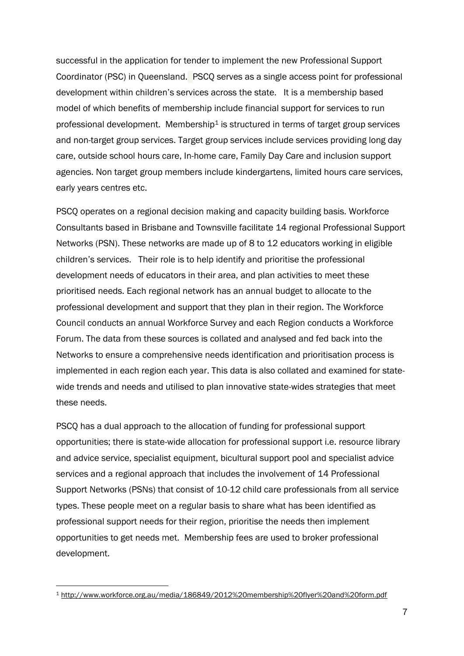successful in the application for tender to implement the new Professional Support Coordinator (PSC) in Queensland. PSCQ serves as a single access point for professional development within children's services across the state. It is a membership based model of which benefits of membership include financial support for services to run professional development. Membership<sup>1</sup> is structured in terms of target group services and non-target group services. Target group services include services providing long day care, outside school hours care, In-home care, Family Day Care and inclusion support agencies. Non target group members include kindergartens, limited hours care services, early years centres etc.

PSCQ operates on a regional decision making and capacity building basis. Workforce Consultants based in Brisbane and Townsville facilitate 14 regional Professional Support Networks (PSN). These networks are made up of 8 to 12 educators working in eligible children's services. Their role is to help identify and prioritise the professional development needs of educators in their area, and plan activities to meet these prioritised needs. Each regional network has an annual budget to allocate to the professional development and support that they plan in their region. The Workforce Council conducts an annual Workforce Survey and each Region conducts a Workforce Forum. The data from these sources is collated and analysed and fed back into the Networks to ensure a comprehensive needs identification and prioritisation process is implemented in each region each year. This data is also collated and examined for statewide trends and needs and utilised to plan innovative state-wides strategies that meet these needs.

PSCQ has a dual approach to the allocation of funding for professional support opportunities; there is state-wide allocation for professional support i.e. resource library and advice service, specialist equipment, bicultural support pool and specialist advice services and a regional approach that includes the involvement of 14 Professional Support Networks (PSNs) that consist of 10-12 child care professionals from all service types. These people meet on a regular basis to share what has been identified as professional support needs for their region, prioritise the needs then implement opportunities to get needs met. Membership fees are used to broker professional development.

1

<sup>1</sup> <http://www.workforce.org.au/media/186849/2012%20membership%20flyer%20and%20form.pdf>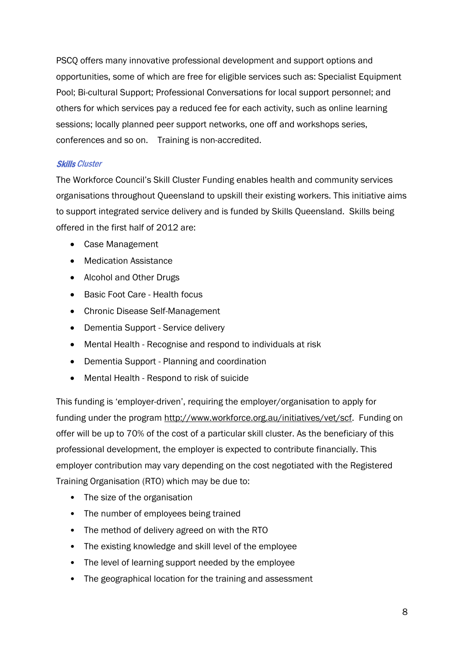PSCQ offers many innovative professional development and support options and opportunities, some of which are free for eligible services such as: Specialist Equipment Pool; Bi-cultural Support; Professional Conversations for local support personnel; and others for which services pay a reduced fee for each activity, such as online learning sessions; locally planned peer support networks, one off and workshops series, conferences and so on. Training is non-accredited.

#### <span id="page-11-0"></span>Skills Cluster

The Workforce Council's Skill Cluster Funding enables health and community services organisations throughout Queensland to upskill their existing workers. This initiative aims to support integrated service delivery and is funded by Skills Queensland. Skills being offered in the first half of 2012 are:

- Case Management
- Medication Assistance
- Alcohol and Other Drugs
- Basic Foot Care Health focus
- Chronic Disease Self-Management
- Dementia Support Service delivery
- Mental Health Recognise and respond to individuals at risk
- Dementia Support Planning and coordination
- Mental Health Respond to risk of suicide

This funding is 'employer-driven', requiring the employer/organisation to apply for funding under the program [http://www.workforce.org.au/initiatives/vet/scf.](http://www.workforce.org.au/initiatives/vet/scf) Funding on offer will be up to 70% of the cost of a particular skill cluster. As the beneficiary of this professional development, the employer is expected to contribute financially. This employer contribution may vary depending on the cost negotiated with the Registered Training Organisation (RTO) which may be due to:

- The size of the organisation
- The number of employees being trained
- The method of delivery agreed on with the RTO
- The existing knowledge and skill level of the employee
- The level of learning support needed by the employee
- The geographical location for the training and assessment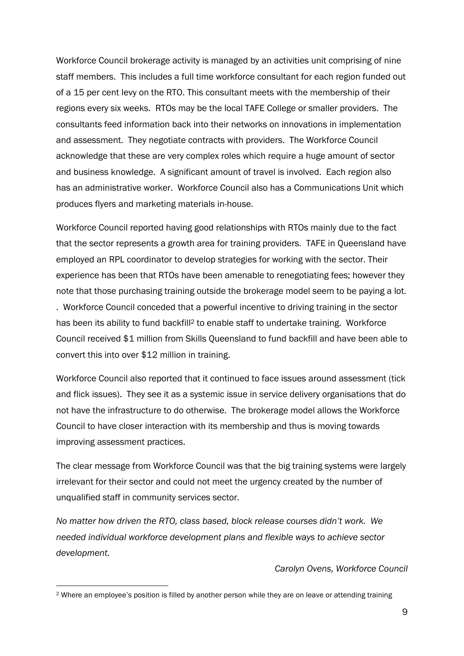Workforce Council brokerage activity is managed by an activities unit comprising of nine staff members. This includes a full time workforce consultant for each region funded out of a 15 per cent levy on the RTO. This consultant meets with the membership of their regions every six weeks. RTOs may be the local TAFE College or smaller providers. The consultants feed information back into their networks on innovations in implementation and assessment. They negotiate contracts with providers. The Workforce Council acknowledge that these are very complex roles which require a huge amount of sector and business knowledge. A significant amount of travel is involved. Each region also has an administrative worker. Workforce Council also has a Communications Unit which produces flyers and marketing materials in-house.

Workforce Council reported having good relationships with RTOs mainly due to the fact that the sector represents a growth area for training providers. TAFE in Queensland have employed an RPL coordinator to develop strategies for working with the sector. Their experience has been that RTOs have been amenable to renegotiating fees; however they note that those purchasing training outside the brokerage model seem to be paying a lot. . Workforce Council conceded that a powerful incentive to driving training in the sector has been its ability to fund backfill<sup>2</sup> to enable staff to undertake training. Workforce

Council received \$1 million from Skills Queensland to fund backfill and have been able to convert this into over \$12 million in training.

Workforce Council also reported that it continued to face issues around assessment (tick and flick issues). They see it as a systemic issue in service delivery organisations that do not have the infrastructure to do otherwise. The brokerage model allows the Workforce Council to have closer interaction with its membership and thus is moving towards improving assessment practices.

The clear message from Workforce Council was that the big training systems were largely irrelevant for their sector and could not meet the urgency created by the number of unqualified staff in community services sector.

*No matter how driven the RTO, class based, block release courses didn't work. We needed individual workforce development plans and flexible ways to achieve sector development.* 

#### *Carolyn Ovens, Workforce Council*

1

<sup>2</sup> Where an employee's position is filled by another person while they are on leave or attending training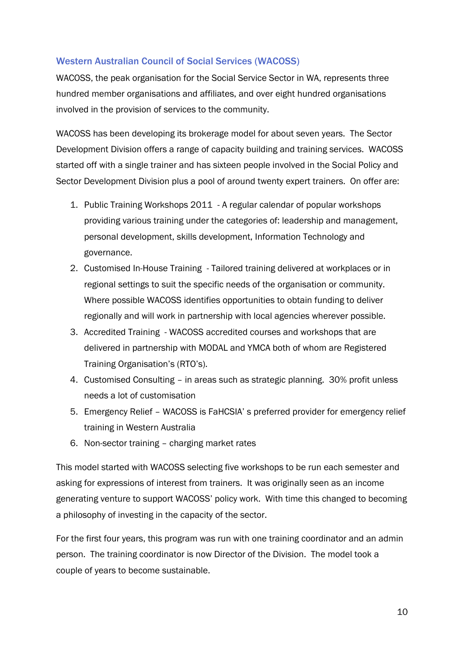#### <span id="page-13-0"></span>Western Australian Council of Social Services (WACOSS)

WACOSS, the peak organisation for the Social Service Sector in WA, represents three hundred member organisations and affiliates, and over eight hundred organisations involved in the provision of services to the community.

WACOSS has been developing its brokerage model for about seven years. The Sector Development Division offers a range of capacity building and training services. WACOSS started off with a single trainer and has sixteen people involved in the Social Policy and Sector Development Division plus a pool of around twenty expert trainers. On offer are:

- 1. [Public Training Workshops 2011](http://www.wacoss.org.au/services/public_training_workshops.aspx) A regular calendar of popular workshops providing various training under the categories of: leadership and management, personal development, skills development, Information Technology and governance.
- 2. [Customised In-House Training](http://www.wacoss.org.au/services/customised_in_house_training.aspx) Tailored training delivered at workplaces or in regional settings to suit the specific needs of the organisation or community. Where possible WACOSS identifies opportunities to obtain funding to deliver regionally and will work in partnership with local agencies wherever possible.
- 3. [Accredited Training](http://www.wacoss.org.au/services/accredited_training.aspx) WACOSS accredited courses and workshops that are delivered in partnership with MODAL and YMCA both of whom are Registered Training Organisation's (RTO's).
- 4. Customised Consulting in areas such as strategic planning. 30% profit unless needs a lot of customisation
- 5. Emergency Relief WACOSS is FaHCSIA' s preferred provider for emergency relief training in Western Australia
- 6. Non-sector training charging market rates

This model started with WACOSS selecting five workshops to be run each semester and asking for expressions of interest from trainers. It was originally seen as an income generating venture to support WACOSS' policy work. With time this changed to becoming a philosophy of investing in the capacity of the sector.

For the first four years, this program was run with one training coordinator and an admin person. The training coordinator is now Director of the Division. The model took a couple of years to become sustainable.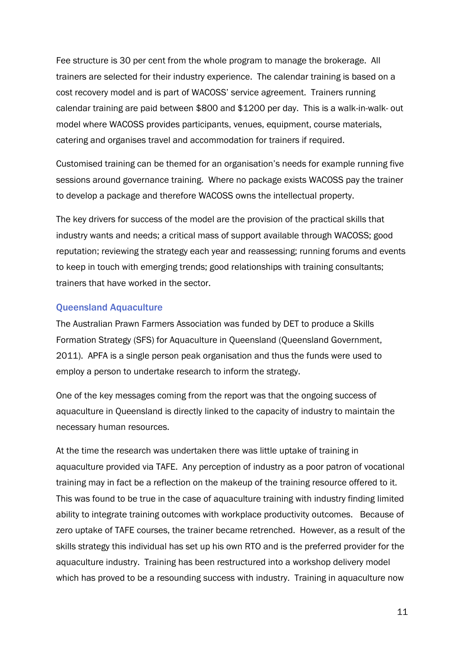Fee structure is 30 per cent from the whole program to manage the brokerage. All trainers are selected for their industry experience. The calendar training is based on a cost recovery model and is part of WACOSS' service agreement. Trainers running calendar training are paid between \$800 and \$1200 per day. This is a walk-in-walk- out model where WACOSS provides participants, venues, equipment, course materials, catering and organises travel and accommodation for trainers if required.

Customised training can be themed for an organisation's needs for example running five sessions around governance training. Where no package exists WACOSS pay the trainer to develop a package and therefore WACOSS owns the intellectual property.

The key drivers for success of the model are the provision of the practical skills that industry wants and needs; a critical mass of support available through WACOSS; good reputation; reviewing the strategy each year and reassessing; running forums and events to keep in touch with emerging trends; good relationships with training consultants; trainers that have worked in the sector.

#### <span id="page-14-0"></span>Queensland Aquaculture

The Australian Prawn Farmers Association was funded by DET to produce a Skills Formation Strategy (SFS) for Aquaculture in Queensland (Queensland Government, 2011). APFA is a single person peak organisation and thus the funds were used to employ a person to undertake research to inform the strategy.

One of the key messages coming from the report was that the ongoing success of aquaculture in Queensland is directly linked to the capacity of industry to maintain the necessary human resources.

At the time the research was undertaken there was little uptake of training in aquaculture provided via TAFE. Any perception of industry as a poor patron of vocational training may in fact be a reflection on the makeup of the training resource offered to it. This was found to be true in the case of aquaculture training with industry finding limited ability to integrate training outcomes with workplace productivity outcomes. Because of zero uptake of TAFE courses, the trainer became retrenched. However, as a result of the skills strategy this individual has set up his own RTO and is the preferred provider for the aquaculture industry. Training has been restructured into a workshop delivery model which has proved to be a resounding success with industry. Training in aquaculture now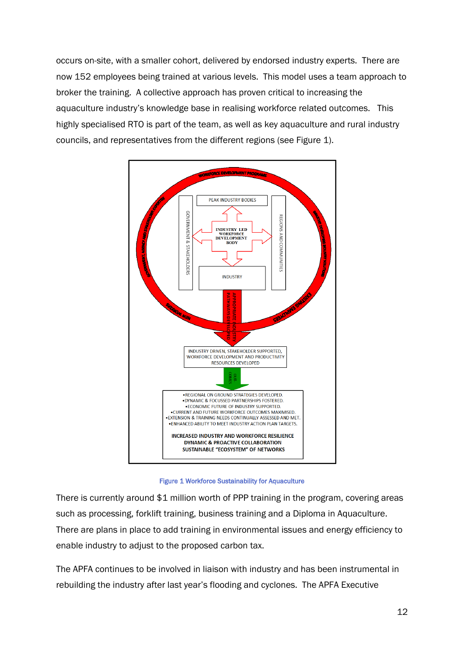occurs on-site, with a smaller cohort, delivered by endorsed industry experts. There are now 152 employees being trained at various levels. This model uses a team approach to broker the training. A collective approach has proven critical to increasing the aquaculture industry's knowledge base in realising workforce related outcomes. This highly specialised RTO is part of the team, as well as key aquaculture and rural industry councils, and representatives from the different regions (see Figure 1).



Figure 1 Workforce Sustainability for Aquaculture

There is currently around \$1 million worth of PPP training in the program, covering areas such as processing, forklift training, business training and a Diploma in Aquaculture. There are plans in place to add training in environmental issues and energy efficiency to enable industry to adjust to the proposed carbon tax.

The APFA continues to be involved in liaison with industry and has been instrumental in rebuilding the industry after last year's flooding and cyclones. The APFA Executive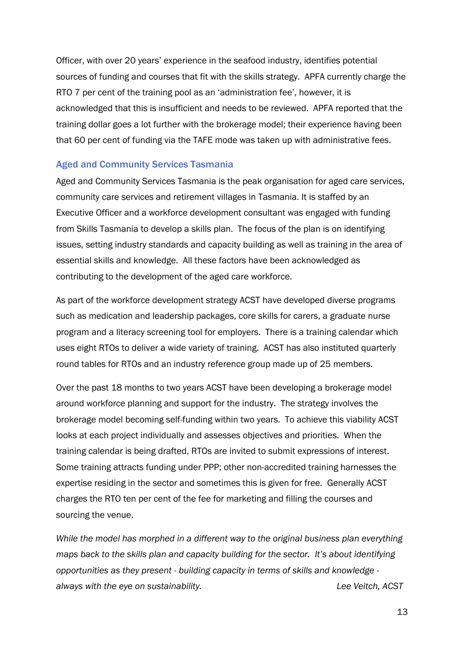Officer, with over 20 years' experience in the seafood industry, identifies potential sources of funding and courses that fit with the skills strategy. APFA currently charge the RTO 7 per cent of the training pool as an 'administration fee', however, it is acknowledged that this is insufficient and needs to be reviewed. APFA reported that the training dollar goes a lot further with the brokerage model; their experience having been that 60 per cent of funding via the TAFE mode was taken up with administrative fees.

#### <span id="page-16-0"></span>Aged and Community Services Tasmania

Aged and Community Services Tasmania is the peak organisation for aged care services, community care services and retirement villages in Tasmania. It is staffed by an Executive Officer and a workforce development consultant was engaged with funding from Skills Tasmania to develop a skills plan. The focus of the plan is on identifying issues, setting industry standards and capacity building as well as training in the area of essential skills and knowledge. All these factors have been acknowledged as contributing to the development of the aged care workforce.

As part of the workforce development strategy ACST have developed diverse programs such as medication and leadership packages, core skills for carers, a graduate nurse program and a literacy screening tool for employers. There is a training calendar which uses eight RTOs to deliver a wide variety of training. ACST has also instituted quarterly round tables for RTOs and an industry reference group made up of 25 members.

Over the past 18 months to two years ACST have been developing a brokerage model around workforce planning and support for the industry. The strategy involves the brokerage model becoming self-funding within two years. To achieve this viability ACST looks at each project individually and assesses objectives and priorities. When the training calendar is being drafted, RTOs are invited to submit expressions of interest. Some training attracts funding under PPP; other non-accredited training harnesses the expertise residing in the sector and sometimes this is given for free. Generally ACST charges the RTO ten per cent of the fee for marketing and filling the courses and sourcing the venue.

*While the model has morphed in a different way to the original business plan everything maps back to the skills plan and capacity building for the sector. It's about identifying opportunities as they present - building capacity in terms of skills and knowledge always with the eye on sustainability. Lee Veitch, ACST*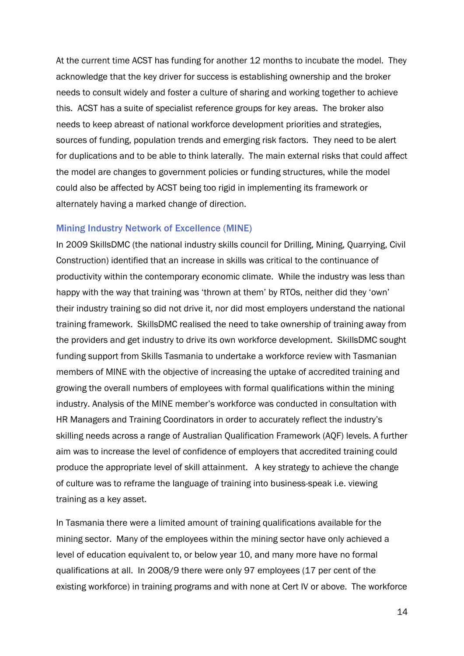At the current time ACST has funding for another 12 months to incubate the model. They acknowledge that the key driver for success is establishing ownership and the broker needs to consult widely and foster a culture of sharing and working together to achieve this. ACST has a suite of specialist reference groups for key areas. The broker also needs to keep abreast of national workforce development priorities and strategies, sources of funding, population trends and emerging risk factors. They need to be alert for duplications and to be able to think laterally. The main external risks that could affect the model are changes to government policies or funding structures, while the model could also be affected by ACST being too rigid in implementing its framework or alternately having a marked change of direction.

#### <span id="page-17-0"></span>Mining Industry Network of Excellence (MINE)

In 2009 SkillsDMC (the national industry skills council for Drilling, Mining, Quarrying, Civil Construction) identified that an increase in skills was critical to the continuance of productivity within the contemporary economic climate. While the industry was less than happy with the way that training was 'thrown at them' by RTOs, neither did they 'own' their industry training so did not drive it, nor did most employers understand the national training framework. SkillsDMC realised the need to take ownership of training away from the providers and get industry to drive its own workforce development. SkillsDMC sought funding support from Skills Tasmania to undertake a workforce review with Tasmanian members of MINE with the objective of increasing the uptake of accredited training and growing the overall numbers of employees with formal qualifications within the mining industry. Analysis of the MINE member's workforce was conducted in consultation with HR Managers and Training Coordinators in order to accurately reflect the industry's skilling needs across a range of Australian Qualification Framework (AQF) levels. A further aim was to increase the level of confidence of employers that accredited training could produce the appropriate level of skill attainment. A key strategy to achieve the change of culture was to reframe the language of training into business-speak i.e. viewing training as a key asset.

In Tasmania there were a limited amount of training qualifications available for the mining sector. Many of the employees within the mining sector have only achieved a level of education equivalent to, or below year 10, and many more have no formal qualifications at all. In 2008/9 there were only 97 employees (17 per cent of the existing workforce) in training programs and with none at Cert IV or above. The workforce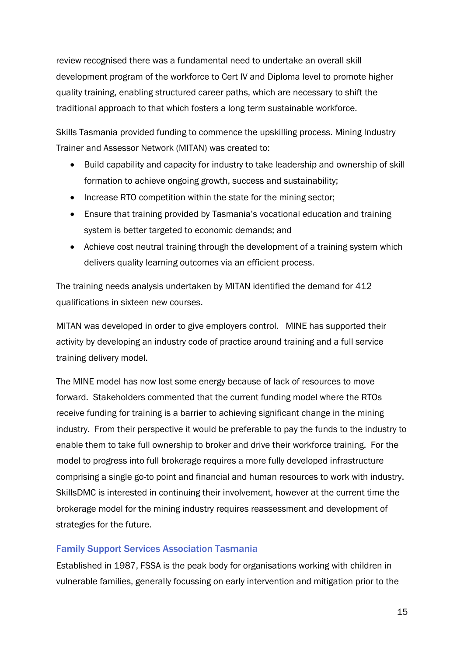review recognised there was a fundamental need to undertake an overall skill development program of the workforce to Cert IV and Diploma level to promote higher quality training, enabling structured career paths, which are necessary to shift the traditional approach to that which fosters a long term sustainable workforce.

Skills Tasmania provided funding to commence the upskilling process. Mining Industry Trainer and Assessor Network (MITAN) was created to:

- Build capability and capacity for industry to take leadership and ownership of skill formation to achieve ongoing growth, success and sustainability;
- Increase RTO competition within the state for the mining sector;
- Ensure that training provided by Tasmania's vocational education and training system is better targeted to economic demands; and
- Achieve cost neutral training through the development of a training system which delivers quality learning outcomes via an efficient process.

The training needs analysis undertaken by MITAN identified the demand for 412 qualifications in sixteen new courses.

MITAN was developed in order to give employers control. MINE has supported their activity by developing an industry code of practice around training and a full service training delivery model.

The MINE model has now lost some energy because of lack of resources to move forward. Stakeholders commented that the current funding model where the RTOs receive funding for training is a barrier to achieving significant change in the mining industry. From their perspective it would be preferable to pay the funds to the industry to enable them to take full ownership to broker and drive their workforce training. For the model to progress into full brokerage requires a more fully developed infrastructure comprising a single go-to point and financial and human resources to work with industry. SkillsDMC is interested in continuing their involvement, however at the current time the brokerage model for the mining industry requires reassessment and development of strategies for the future.

#### <span id="page-18-0"></span>Family Support Services Association Tasmania

Established in 1987, FSSA is the peak body for organisations working with children in vulnerable families, generally focussing on early intervention and mitigation prior to the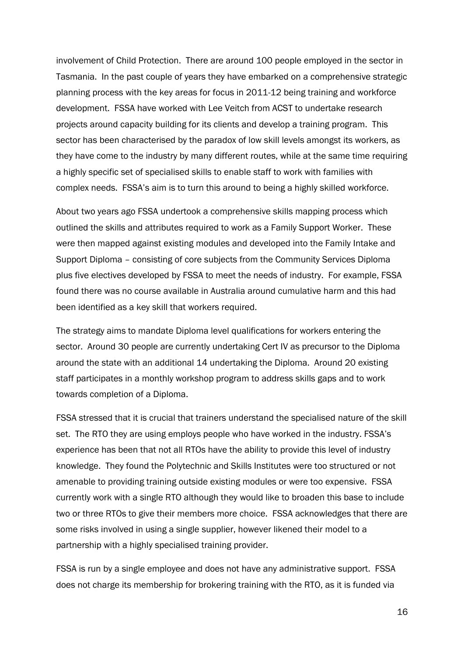involvement of Child Protection. There are around 100 people employed in the sector in Tasmania. In the past couple of years they have embarked on a comprehensive strategic planning process with the key areas for focus in 2011-12 being training and workforce development. FSSA have worked with Lee Veitch from ACST to undertake research projects around capacity building for its clients and develop a training program. This sector has been characterised by the paradox of low skill levels amongst its workers, as they have come to the industry by many different routes, while at the same time requiring a highly specific set of specialised skills to enable staff to work with families with complex needs. FSSA's aim is to turn this around to being a highly skilled workforce.

About two years ago FSSA undertook a comprehensive skills mapping process which outlined the skills and attributes required to work as a Family Support Worker. These were then mapped against existing modules and developed into the Family Intake and Support Diploma – consisting of core subjects from the Community Services Diploma plus five electives developed by FSSA to meet the needs of industry. For example, FSSA found there was no course available in Australia around cumulative harm and this had been identified as a key skill that workers required.

The strategy aims to mandate Diploma level qualifications for workers entering the sector. Around 30 people are currently undertaking Cert IV as precursor to the Diploma around the state with an additional 14 undertaking the Diploma. Around 20 existing staff participates in a monthly workshop program to address skills gaps and to work towards completion of a Diploma.

FSSA stressed that it is crucial that trainers understand the specialised nature of the skill set. The RTO they are using employs people who have worked in the industry. FSSA's experience has been that not all RTOs have the ability to provide this level of industry knowledge. They found the Polytechnic and Skills Institutes were too structured or not amenable to providing training outside existing modules or were too expensive. FSSA currently work with a single RTO although they would like to broaden this base to include two or three RTOs to give their members more choice. FSSA acknowledges that there are some risks involved in using a single supplier, however likened their model to a partnership with a highly specialised training provider.

FSSA is run by a single employee and does not have any administrative support. FSSA does not charge its membership for brokering training with the RTO, as it is funded via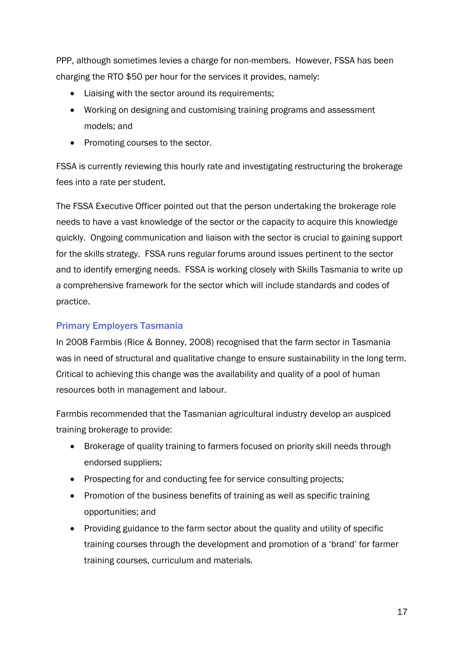PPP, although sometimes levies a charge for non-members. However, FSSA has been charging the RTO \$50 per hour for the services it provides, namely:

- Liaising with the sector around its requirements;
- Working on designing and customising training programs and assessment models; and
- Promoting courses to the sector.

FSSA is currently reviewing this hourly rate and investigating restructuring the brokerage fees into a rate per student.

The FSSA Executive Officer pointed out that the person undertaking the brokerage role needs to have a vast knowledge of the sector or the capacity to acquire this knowledge quickly. Ongoing communication and liaison with the sector is crucial to gaining support for the skills strategy. FSSA runs regular forums around issues pertinent to the sector and to identify emerging needs. FSSA is working closely with Skills Tasmania to write up a comprehensive framework for the sector which will include standards and codes of practice.

#### <span id="page-20-0"></span>Primary Employers Tasmania

In 2008 Farmbis (Rice & Bonney, 2008) recognised that the farm sector in Tasmania was in need of structural and qualitative change to ensure sustainability in the long term. Critical to achieving this change was the availability and quality of a pool of human resources both in management and labour.

Farmbis recommended that the Tasmanian agricultural industry develop an auspiced training brokerage to provide:

- Brokerage of quality training to farmers focused on priority skill needs through endorsed suppliers;
- Prospecting for and conducting fee for service consulting projects;
- Promotion of the business benefits of training as well as specific training opportunities; and
- Providing guidance to the farm sector about the quality and utility of specific training courses through the development and promotion of a 'brand' for farmer training courses, curriculum and materials.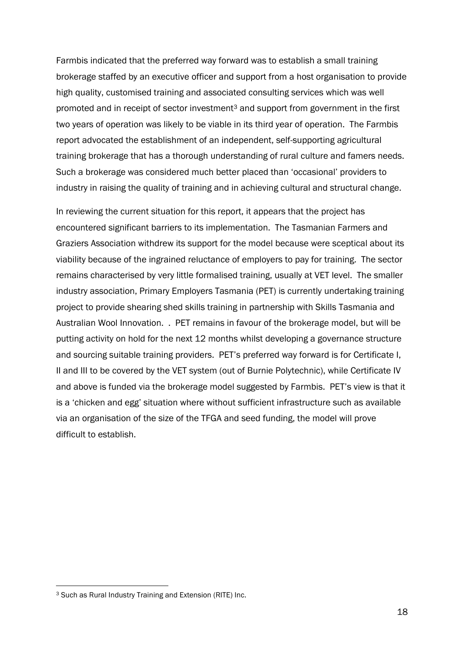Farmbis indicated that the preferred way forward was to establish a small training brokerage staffed by an executive officer and support from a host organisation to provide high quality, customised training and associated consulting services which was well promoted and in receipt of sector investment<sup>3</sup> and support from government in the first two years of operation was likely to be viable in its third year of operation. The Farmbis report advocated the establishment of an independent, self-supporting agricultural training brokerage that has a thorough understanding of rural culture and famers needs. Such a brokerage was considered much better placed than 'occasional' providers to industry in raising the quality of training and in achieving cultural and structural change.

In reviewing the current situation for this report, it appears that the project has encountered significant barriers to its implementation. The Tasmanian Farmers and Graziers Association withdrew its support for the model because were sceptical about its viability because of the ingrained reluctance of employers to pay for training. The sector remains characterised by very little formalised training, usually at VET level. The smaller industry association, Primary Employers Tasmania (PET) is currently undertaking training project to provide shearing shed skills training in partnership with Skills Tasmania and Australian Wool Innovation. . PET remains in favour of the brokerage model, but will be putting activity on hold for the next 12 months whilst developing a governance structure and sourcing suitable training providers. PET's preferred way forward is for Certificate I, II and III to be covered by the VET system (out of Burnie Polytechnic), while Certificate IV and above is funded via the brokerage model suggested by Farmbis. PET's view is that it is a 'chicken and egg' situation where without sufficient infrastructure such as available via an organisation of the size of the TFGA and seed funding, the model will prove difficult to establish.

1

<sup>3</sup> Such as Rural Industry Training and Extension (RITE) Inc.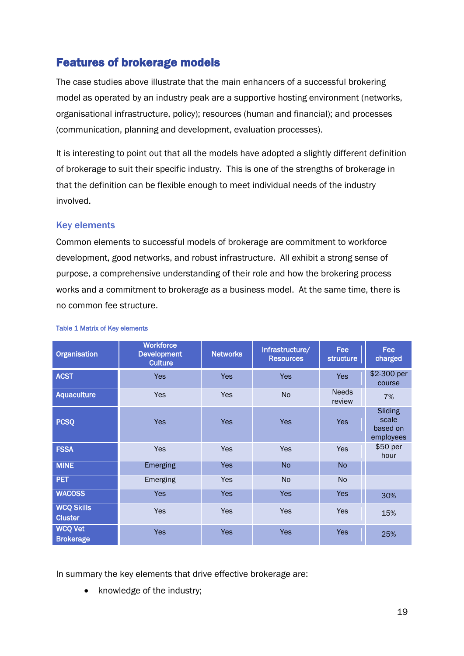# <span id="page-22-0"></span>Features of brokerage models

The case studies above illustrate that the main enhancers of a successful brokering model as operated by an industry peak are a supportive hosting environment (networks, organisational infrastructure, policy); resources (human and financial); and processes (communication, planning and development, evaluation processes).

It is interesting to point out that all the models have adopted a slightly different definition of brokerage to suit their specific industry. This is one of the strengths of brokerage in that the definition can be flexible enough to meet individual needs of the industry involved.

#### <span id="page-22-1"></span>Key elements

Common elements to successful models of brokerage are commitment to workforce development, good networks, and robust infrastructure. All exhibit a strong sense of purpose, a comprehensive understanding of their role and how the brokering process works and a commitment to brokerage as a business model. At the same time, there is no common fee structure.

| <b>Organisation</b>                 | <b>Workforce</b><br><b>Development</b><br><b>Culture</b> | <b>Networks</b> | Infrastructure/<br><b>Resources</b> | Fee<br><b>structure</b> | <b>Fee</b><br>charged                     |
|-------------------------------------|----------------------------------------------------------|-----------------|-------------------------------------|-------------------------|-------------------------------------------|
| <b>ACST</b>                         | <b>Yes</b>                                               | <b>Yes</b>      | <b>Yes</b>                          | <b>Yes</b>              | \$2-300 per<br>course                     |
| <b>Aquaculture</b>                  | Yes                                                      | Yes             | <b>No</b>                           | <b>Needs</b><br>review  | 7%                                        |
| <b>PCSQ</b>                         | <b>Yes</b>                                               | <b>Yes</b>      | <b>Yes</b>                          | <b>Yes</b>              | Sliding<br>scale<br>based on<br>employees |
| <b>FSSA</b>                         | Yes                                                      | <b>Yes</b>      | Yes                                 | Yes                     | \$50 per<br>hour                          |
| <b>MINE</b>                         | Emerging                                                 | <b>Yes</b>      | <b>No</b>                           | <b>No</b>               |                                           |
| <b>PET</b>                          | Emerging                                                 | <b>Yes</b>      | <b>No</b>                           | N <sub>o</sub>          |                                           |
| <b>WACOSS</b>                       | <b>Yes</b>                                               | <b>Yes</b>      | <b>Yes</b>                          | <b>Yes</b>              | 30%                                       |
| <b>WCQ Skills</b><br><b>Cluster</b> | <b>Yes</b>                                               | <b>Yes</b>      | Yes                                 | <b>Yes</b>              | 15%                                       |
| <b>WCQ Vet</b><br><b>Brokerage</b>  | <b>Yes</b>                                               | <b>Yes</b>      | <b>Yes</b>                          | <b>Yes</b>              | 25%                                       |

#### Table 1 Matrix of Key elements

In summary the key elements that drive effective brokerage are:

knowledge of the industry;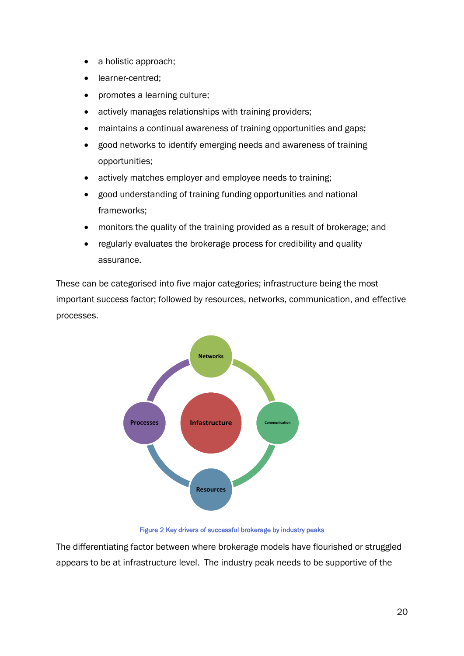- a holistic approach;
- learner-centred;
- promotes a learning culture;
- actively manages relationships with training providers;
- maintains a continual awareness of training opportunities and gaps;
- good networks to identify emerging needs and awareness of training opportunities;
- actively matches employer and employee needs to training;
- good understanding of training funding opportunities and national frameworks;
- monitors the quality of the training provided as a result of brokerage; and
- regularly evaluates the brokerage process for credibility and quality assurance.

These can be categorised into five major categories; infrastructure being the most important success factor; followed by resources, networks, communication, and effective processes.



Figure 2 Key drivers of successful brokerage by industry peaks

The differentiating factor between where brokerage models have flourished or struggled appears to be at infrastructure level. The industry peak needs to be supportive of the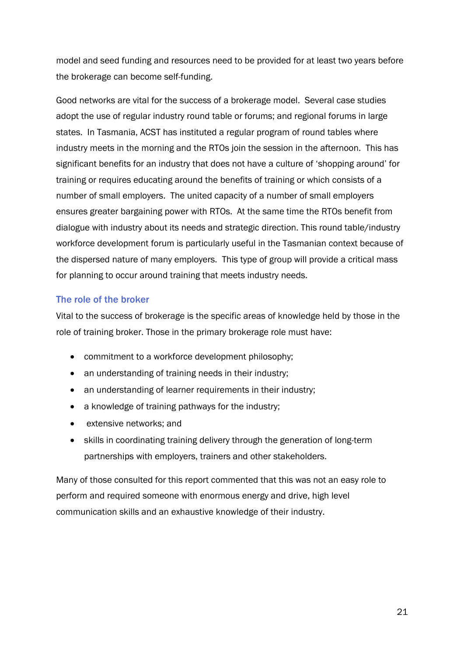model and seed funding and resources need to be provided for at least two years before the brokerage can become self-funding.

Good networks are vital for the success of a brokerage model. Several case studies adopt the use of regular industry round table or forums; and regional forums in large states. In Tasmania, ACST has instituted a regular program of round tables where industry meets in the morning and the RTOs join the session in the afternoon. This has significant benefits for an industry that does not have a culture of 'shopping around' for training or requires educating around the benefits of training or which consists of a number of small employers. The united capacity of a number of small employers ensures greater bargaining power with RTOs. At the same time the RTOs benefit from dialogue with industry about its needs and strategic direction. This round table/industry workforce development forum is particularly useful in the Tasmanian context because of the dispersed nature of many employers. This type of group will provide a critical mass for planning to occur around training that meets industry needs.

#### <span id="page-24-0"></span>The role of the broker

Vital to the success of brokerage is the specific areas of knowledge held by those in the role of training broker. Those in the primary brokerage role must have:

- commitment to a workforce development philosophy;
- an understanding of training needs in their industry;
- an understanding of learner requirements in their industry;
- a knowledge of training pathways for the industry:
- extensive networks; and
- skills in coordinating training delivery through the generation of long-term partnerships with employers, trainers and other stakeholders.

Many of those consulted for this report commented that this was not an easy role to perform and required someone with enormous energy and drive, high level communication skills and an exhaustive knowledge of their industry.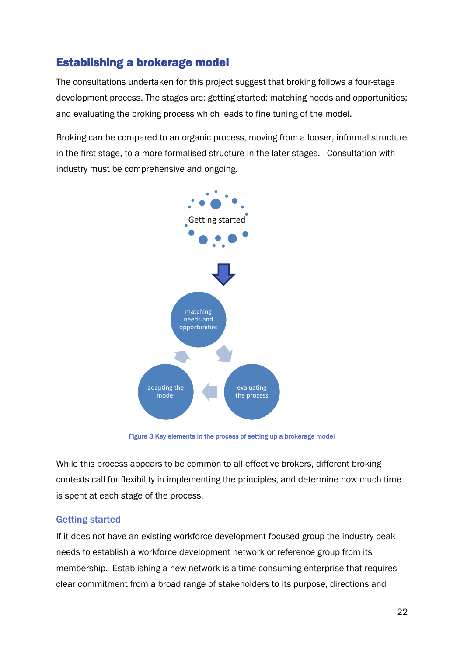# <span id="page-25-0"></span>Establishing a brokerage model

The consultations undertaken for this project suggest that broking follows a four-stage development process. The stages are: getting started; matching needs and opportunities; and evaluating the broking process which leads to fine tuning of the model.

Broking can be compared to an organic process, moving from a looser, informal structure in the first stage, to a more formalised structure in the later stages. Consultation with industry must be comprehensive and ongoing.



Figure 3 Key elements in the process of setting up a brokerage model

While this process appears to be common to all effective brokers, different broking contexts call for flexibility in implementing the principles, and determine how much time is spent at each stage of the process.

#### <span id="page-25-1"></span>Getting started

If it does not have an existing workforce development focused group the industry peak needs to establish a workforce development network or reference group from its membership. Establishing a new network is a time-consuming enterprise that requires clear commitment from a broad range of stakeholders to its purpose, directions and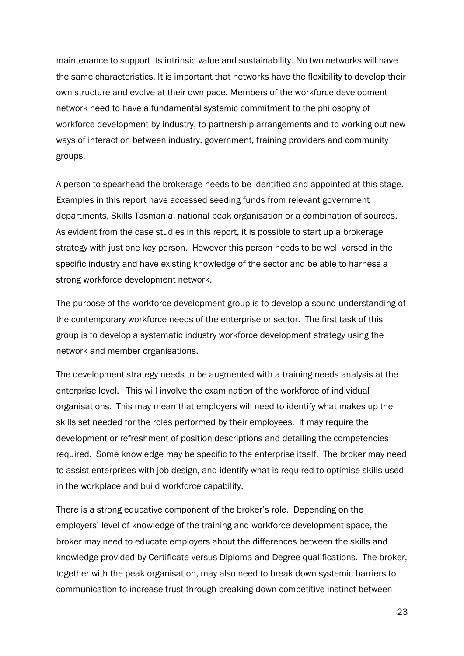maintenance to support its intrinsic value and sustainability. No two networks will have the same characteristics. It is important that networks have the flexibility to develop their own structure and evolve at their own pace. Members of the workforce development network need to have a fundamental systemic commitment to the philosophy of workforce development by industry, to partnership arrangements and to working out new ways of interaction between industry, government, training providers and community groups.

A person to spearhead the brokerage needs to be identified and appointed at this stage. Examples in this report have accessed seeding funds from relevant government departments, Skills Tasmania, national peak organisation or a combination of sources. As evident from the case studies in this report, it is possible to start up a brokerage strategy with just one key person. However this person needs to be well versed in the specific industry and have existing knowledge of the sector and be able to harness a strong workforce development network.

The purpose of the workforce development group is to develop a sound understanding of the contemporary workforce needs of the enterprise or sector. The first task of this group is to develop a systematic industry workforce development strategy using the network and member organisations.

The development strategy needs to be augmented with a training needs analysis at the enterprise level. This will involve the examination of the workforce of individual organisations. This may mean that employers will need to identify what makes up the skills set needed for the roles performed by their employees. It may require the development or refreshment of position descriptions and detailing the competencies required. Some knowledge may be specific to the enterprise itself. The broker may need to assist enterprises with job-design, and identify what is required to optimise skills used in the workplace and build workforce capability.

There is a strong educative component of the broker's role. Depending on the employers' level of knowledge of the training and workforce development space, the broker may need to educate employers about the differences between the skills and knowledge provided by Certificate versus Diploma and Degree qualifications. The broker, together with the peak organisation, may also need to break down systemic barriers to communication to increase trust through breaking down competitive instinct between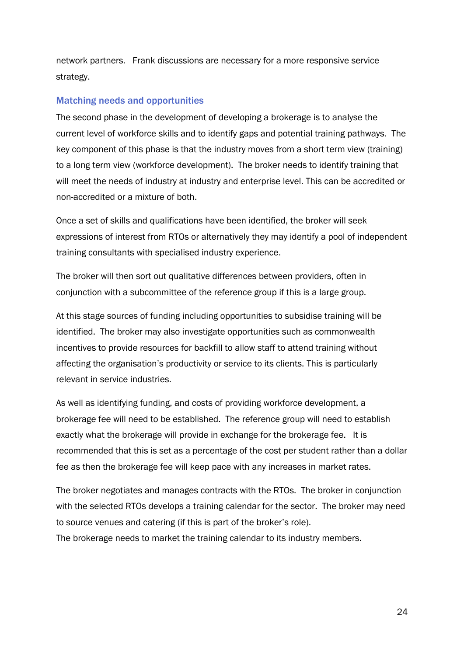network partners. Frank discussions are necessary for a more responsive service strategy.

#### <span id="page-27-0"></span>Matching needs and opportunities

The second phase in the development of developing a brokerage is to analyse the current level of workforce skills and to identify gaps and potential training pathways. The key component of this phase is that the industry moves from a short term view (training) to a long term view (workforce development). The broker needs to identify training that will meet the needs of industry at industry and enterprise level. This can be accredited or non-accredited or a mixture of both.

Once a set of skills and qualifications have been identified, the broker will seek expressions of interest from RTOs or alternatively they may identify a pool of independent training consultants with specialised industry experience.

The broker will then sort out qualitative differences between providers, often in conjunction with a subcommittee of the reference group if this is a large group.

At this stage sources of funding including opportunities to subsidise training will be identified. The broker may also investigate opportunities such as commonwealth incentives to provide resources for backfill to allow staff to attend training without affecting the organisation's productivity or service to its clients. This is particularly relevant in service industries.

As well as identifying funding, and costs of providing workforce development, a brokerage fee will need to be established. The reference group will need to establish exactly what the brokerage will provide in exchange for the brokerage fee. It is recommended that this is set as a percentage of the cost per student rather than a dollar fee as then the brokerage fee will keep pace with any increases in market rates.

The broker negotiates and manages contracts with the RTOs. The broker in conjunction with the selected RTOs develops a training calendar for the sector. The broker may need to source venues and catering (if this is part of the broker's role). The brokerage needs to market the training calendar to its industry members.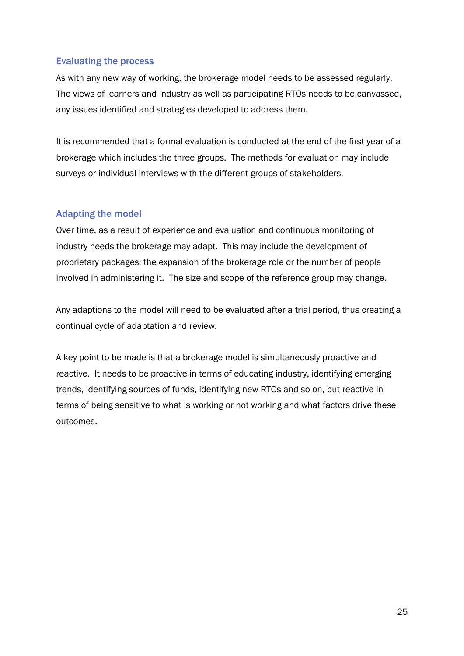#### <span id="page-28-0"></span>Evaluating the process

As with any new way of working, the brokerage model needs to be assessed regularly. The views of learners and industry as well as participating RTOs needs to be canvassed, any issues identified and strategies developed to address them.

It is recommended that a formal evaluation is conducted at the end of the first year of a brokerage which includes the three groups. The methods for evaluation may include surveys or individual interviews with the different groups of stakeholders.

#### <span id="page-28-1"></span>Adapting the model

Over time, as a result of experience and evaluation and continuous monitoring of industry needs the brokerage may adapt. This may include the development of proprietary packages; the expansion of the brokerage role or the number of people involved in administering it. The size and scope of the reference group may change.

Any adaptions to the model will need to be evaluated after a trial period, thus creating a continual cycle of adaptation and review.

A key point to be made is that a brokerage model is simultaneously proactive and reactive. It needs to be proactive in terms of educating industry, identifying emerging trends, identifying sources of funds, identifying new RTOs and so on, but reactive in terms of being sensitive to what is working or not working and what factors drive these outcomes.